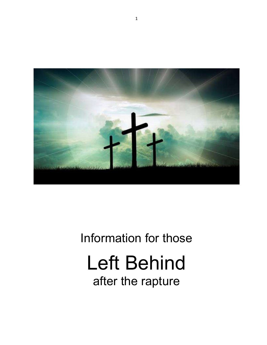

# Information for those Left Behind after the rapture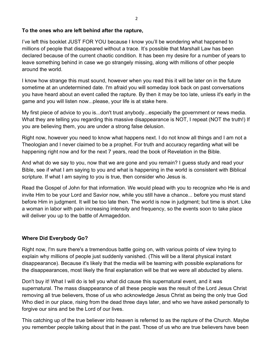#### To the ones who are left behind after the rapture,

I've left this booklet JUST FOR YOU because I know you'll be wondering what happened to millions of people that disappeared without a trace. It's possible that Marshall Law has been declared because of the current chaotic condition. It has been my desire for a number of years to leave something behind in case we go strangely missing, along with millions of other people around the world.

I know how strange this must sound, however when you read this it will be later on in the future sometime at an undetermined date. I'm afraid you will someday look back on past conversations you have heard about an event called the rapture. By then it may be too late, unless it's early in the game and you will listen now...please, your life is at stake here.

My first piece of advice to you is...don't trust anybody...especially the government or news media. What they are telling you regarding this massive disappearance is NOT, I repeat (NOT the truth!) If you are believing them, you are under a strong false delusion.

Right now, however you need to know what happens next. I do not know all things and I am not a Theologian and I never claimed to be a prophet. For truth and accuracy regarding what will be happening right now and for the next 7 years, read the book of Revelation in the Bible.

And what do we say to you, now that we are gone and you remain? I guess study and read your Bible, see if what I am saying to you and what is happening in the world is consistent with Biblical scripture. If what I am saying to you is true, then consider who Jesus is.

Read the Gospel of John for that information. We would plead with you to recognize who He is and invite Him to be your Lord and Savior now, while you still have a chance... before you must stand before Him in judgment. It will be too late then. The world is now in judgment; but time is short. Like a woman in labor with pain increasing intensity and frequency, so the events soon to take place will deliver you up to the battle of Armageddon.

## Where Did Everybody Go?

Right now, I'm sure there's a tremendous battle going on, with various points of view trying to explain why millions of people just suddenly vanished. (This will be a literal physical instant disappearance). Because it's likely that the media will be teaming with possible explanations for the disappearances, most likely the final explanation will be that we were all abducted by aliens.

Don't buy it! What I will do is tell you what did cause this supernatural event, and it was supernatural. The mass disappearance of all these people was the result of the Lord Jesus Christ removing all true believers, those of us who acknowledge Jesus Christ as being the only true God Who died in our place, rising from the dead three days later, and who we have asked personally to forgive our sins and be the Lord of our lives.

This catching up of the true believer into heaven is referred to as the rapture of the Church. Maybe you remember people talking about that in the past. Those of us who are true believers have been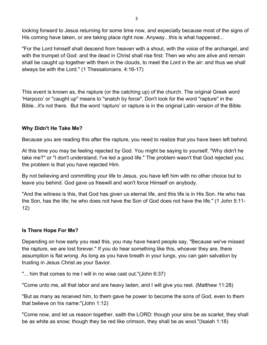looking forward to Jesus returning for some time now, and especially because most of the signs of His coming have taken, or are taking place right now. Anyway...this is what happened...

"For the Lord himself shall descend from heaven with a shout, with the voice of the archangel, and with the trumpet of God: and the dead in Christ shall rise first: Then we who are alive and remain shall be caught up together with them in the clouds, to meet the Lord in the air: and thus we shall always be with the Lord." (1 Thessalonians. 4:16-17)

This event is known as, the rapture (or the catching up) of the church. The original Greek word 'Harpozo' or "caught up" means to "snatch by force". Don't look for the word "rapture" in the Bible...it's not there. But the word 'rapturo' or rapture is in the original Latin version of the Bible.

#### Why Didn't He Take Me?

Because you are reading this after the rapture, you need to realize that you have been left behind.

At this time you may be feeling rejected by God. You might be saying to yourself, "Why didn't he take me?" or "I don't understand; I've led a good life." The problem wasn't that God rejected you; the problem is that you have rejected Him.

By not believing and committing your life to Jesus, you have left him with no other choice but to leave you behind. God gave us freewill and won't force Himself on anybody.

"And the witness is this, that God has given us eternal life, and this life is in His Son. He who has the Son, has the life; he who does not have the Son of God does not have the life." (1 John 5:11- 12)

#### Is There Hope For Me?

Depending on how early you read this, you may have heard people say, "Because we've missed the rapture, we are lost forever." If you do hear something like this, whoever they are, there assumption is flat wrong. As long as you have breath in your lungs, you can gain salvation by trusting in Jesus Christ as your Savior.

"... him that comes to me I will in no wise cast out."(John 6:37)

"Come unto me, all that labor and are heavy laden, and I will give you rest. (Matthew 11:28)

"But as many as received him, to them gave he power to become the sons of God, even to them that believe on his name:"(John 1:12)

"Come now, and let us reason together, saith the LORD: though your sins be as scarlet, they shall be as white as snow; though they be red like crimson, they shall be as wool."(Isaiah 1:18)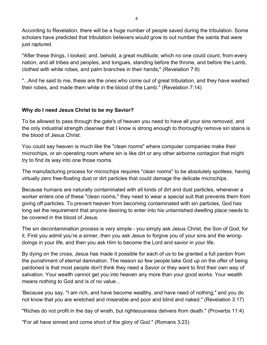According to Revelation, there will be a huge number of people saved during the tribulation. Some scholars have predicted that tribulation believers would grow to out number the saints that were just raptured.

"After these things, I looked, and, behold, a great multitude, which no one could count, from every nation, and all tribes and peoples, and tongues, standing before the throne, and before the Lamb, clothed with white robes, and palm branches in their hands;" (Revelation 7:9)

"...And he said to me, these are the ones who come out of great tribulation, and they have washed their robes, and made them white in the blood of the Lamb." (Revelation 7:14)

#### Why do I need Jesus Christ to be my Savior?

To be allowed to pass through the gate's of heaven you need to have all your sins removed, and the only industrial strength cleanser that I know is strong enough to thoroughly remove sin stains is the blood of Jesus Christ.

You could say heaven is much like the "clean rooms" where computer companies make their microchips, or an operating room where sin is like dirt or any other airborne contagion that might try to find its way into one those rooms.

The manufacturing process for microchips requires "clean rooms" to be absolutely spotless, having virtually zero free-floating dust or dirt particles that could damage the delicate microchips.

Because humans are naturally contaminated with all kinds of dirt and dust particles, whenever a worker enters one of these "clean rooms," they need to wear a special suit that prevents them from giving off particles. To prevent heaven from becoming contaminated with sin particles, God has long set the requirement that anyone desiring to enter into his untarnished dwelling place needs to be covered in the blood of Jesus.

The sin decontamination process is very simple - you simply ask Jesus Christ, the Son of God, for it. First you admit you're a sinner, then you ask Jesus to forgive you of your sins and the wrongdoings in your life, and then you ask Him to become the Lord and savior in your life.

By dying on the cross, Jesus has made it possible for each of us to be granted a full pardon from the punishment of eternal damnation. The reason so few people take God up on the offer of being pardoned is that most people don't think they need a Savior or they want to find their own way of salvation. Your wealth cannot get you into heaven any more than your good works. Your wealth means nothing to God and is of no value...

'Because you say, "I am rich, and have become wealthy, and have need of nothing," and you do not know that you are wretched and miserable and poor and blind and naked." (Revelation 3:17)

"Riches do not profit in the day of wrath, but righteousness delivers from death." (Proverbs 11:4)

"For all have sinned and come short of the glory of God." (Romans 3:23)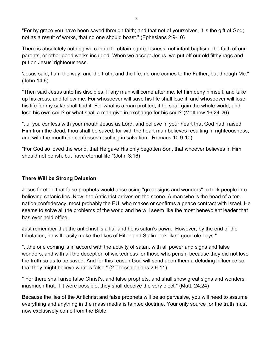"For by grace you have been saved through faith; and that not of yourselves, it is the gift of God; not as a result of works, that no one should boast." (Ephesians 2:9-10)

There is absolutely nothing we can do to obtain righteousness, not infant baptism, the faith of our parents, or other good works included. When we accept Jesus, we put off our old filthy rags and put on Jesus' righteousness.

'Jesus said, I am the way, and the truth, and the life; no one comes to the Father, but through Me." (John 14:6)

"Then said Jesus unto his disciples, If any man will come after me, let him deny himself, and take up his cross, and follow me. For whosoever will save his life shall lose it: and whosoever will lose his life for my sake shall find it. For what is a man profited, if he shall gain the whole world, and lose his own soul? or what shall a man give in exchange for his soul?"(Matthew 16:24-26)

"...if you confess with your mouth Jesus as Lord, and believe in your heart that God hath raised Him from the dead, thou shall be saved; for with the heart man believes resulting in righteousness; and with the mouth he confesses resulting in salvation." Romans 10:9-10)

"For God so loved the world, that He gave His only begotten Son, that whoever believes in Him should not perish, but have eternal life."(John 3:16)

## There Will be Strong Delusion

Jesus foretold that false prophets would arise using "great signs and wonders" to trick people into believing satanic lies. Now, the Antichrist arrives on the scene. A man who is the head of a tennation confederacy, most probably the EU, who makes or confirms a peace contract with Israel. He seems to solve all the problems of the world and he will seem like the most benevolent leader that has ever held office.

Just remember that the antichrist is a liar and he is satan's pawn. However, by the end of the tribulation, he will easily make the likes of Hitler and Stalin look like," good ole boys."

"...the one coming is in accord with the activity of satan, with all power and signs and false wonders, and with all the deception of wickedness for those who perish, because they did not love the truth so as to be saved. And for this reason God will send upon them a deluding influence so that they might believe what is false." (2 Thessalonians 2:9-11)

" For there shall arise false Christ's, and false prophets, and shall show great signs and wonders; inasmuch that, if it were possible, they shall deceive the very elect." (Matt. 24:24)

Because the lies of the Antichrist and false prophets will be so pervasive, you will need to assume everything and anything in the mass media is tainted doctrine. Your only source for the truth must now exclusively come from the Bible.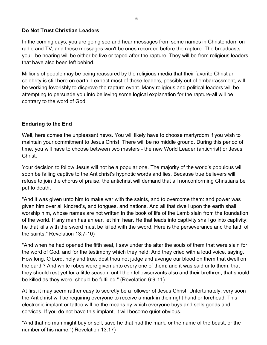#### Do Not Trust Christian Leaders

In the coming days, you are going see and hear messages from some names in Christendom on radio and TV, and these messages won't be ones recorded before the rapture. The broadcasts you'll be hearing will be either be live or taped after the rapture. They will be from religious leaders that have also been left behind.

Millions of people may be being reassured by the religious media that their favorite Christian celebrity is still here on earth. I expect most of these leaders, possibly out of embarrassment, will be working feverishly to disprove the rapture event. Many religious and political leaders will be attempting to persuade you into believing some logical explanation for the rapture-all will be contrary to the word of God.

## Enduring to the End

Well, here comes the unpleasant news. You will likely have to choose martyrdom if you wish to maintain your commitment to Jesus Christ. There will be no middle ground. During this period of time, you will have to choose between two masters - the new World Leader (antichrist) or Jesus Christ.

Your decision to follow Jesus will not be a popular one. The majority of the world's populous will soon be falling captive to the Antichrist's hypnotic words and lies. Because true believers will refuse to join the chorus of praise, the antichrist will demand that all nonconforming Christians be put to death.

"And it was given unto him to make war with the saints, and to overcome them: and power was given him over all kindred's, and tongues, and nations. And all that dwell upon the earth shall worship him, whose names are not written in the book of life of the Lamb slain from the foundation of the world. If any man has an ear, let him hear. He that leads into captivity shall go into captivity: he that kills with the sword must be killed with the sword. Here is the perseverance and the faith of the saints." Revelation 13:7-10)

"And when he had opened the fifth seal, I saw under the altar the souls of them that were slain for the word of God, and for the testimony which they held: And they cried with a loud voice, saying, How long, O Lord, holy and true, dost thou not judge and avenge our blood on them that dwell on the earth? And white robes were given unto every one of them; and it was said unto them, that they should rest yet for a little season, until their fellowservants also and their brethren, that should be killed as they were, should be fulfilled." (Revelation 6:9-11)

At first it may seem rather easy to secretly be a follower of Jesus Christ. Unfortunately, very soon the Antichrist will be requiring everyone to receive a mark in their right hand or forehead. This electronic implant or tattoo will be the means by which everyone buys and sells goods and services. If you do not have this implant, it will become quiet obvious.

"And that no man might buy or sell, save he that had the mark, or the name of the beast, or the number of his name."( Revelation 13:17)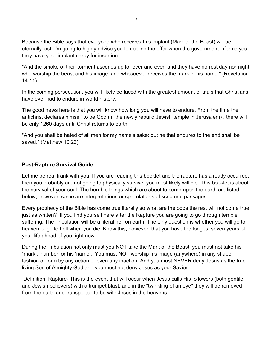7

Because the Bible says that everyone who receives this implant (Mark of the Beast) will be eternally lost, I'm going to highly advise you to decline the offer when the government informs you, they have your implant ready for insertion.

"And the smoke of their torment ascends up for ever and ever: and they have no rest day nor night, who worship the beast and his image, and whosoever receives the mark of his name." (Revelation 14:11)

In the coming persecution, you will likely be faced with the greatest amount of trials that Christians have ever had to endure in world history.

The good news here is that you will know how long you will have to endure. From the time the antichrist declares himself to be God (in the newly rebuild Jewish temple in Jerusalem) , there will be only 1260 days until Christ returns to earth.

"And you shall be hated of all men for my name's sake: but he that endures to the end shall be saved." (Matthew 10:22)

## Post-Rapture Survival Guide

Let me be real frank with you. If you are reading this booklet and the rapture has already occurred, then you probably are not going to physically survive; you most likely will die. This booklet is about the survival of your soul. The horrible things which are about to come upon the earth are listed below, however, some are interpretations or speculations of scriptural passages.

Every prophecy of the Bible has come true literally so what are the odds the rest will not come true just as written? If you find yourself here after the Rapture you are going to go through terrible suffering. The Tribulation will be a literal hell on earth. The only question is whether you will go to heaven or go to hell when you die. Know this, however, that you have the longest seven years of your life ahead of you right now.

During the Tribulation not only must you NOT take the Mark of the Beast, you must not take his "mark', 'number' or his 'name'. You must NOT worship his image (anywhere) in any shape, fashion or form by any action or even any inaction. And you must NEVER deny Jesus as the true living Son of Almighty God and you must not deny Jesus as your Savior.

 Definition: Rapture- This is the event that will occur when Jesus calls His followers (both gentile and Jewish believers) with a trumpet blast, and in the "twinkling of an eye" they will be removed from the earth and transported to be with Jesus in the heavens.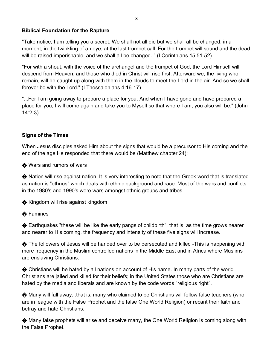#### Biblical Foundation for the Rapture

"Take notice, I am telling you a secret. We shall not all die but we shall all be changed, in a moment, in the twinkling of an eye, at the last trumpet call. For the trumpet will sound and the dead will be raised imperishable, and we shall all be changed. " (I Corinthians 15:51-52)

"For with a shout, with the voice of the archangel and the trumpet of God, the Lord Himself will descend from Heaven, and those who died in Christ will rise first. Afterward we, the living who remain, will be caught up along with them in the clouds to meet the Lord in the air. And so we shall forever be with the Lord." (I Thessalonians 4:16-17)

"...For I am going away to prepare a place for you. And when I have gone and have prepared a place for you, I will come again and take you to Myself so that where I am, you also will be." (John 14:2-3)

# Signs of the Times

When Jesus disciples asked Him about the signs that would be a precursor to His coming and the end of the age He responded that there would be (Matthew chapter 24):

♦ Wars and rumors of wars

� Nation will rise against nation. It is very interesting to note that the Greek word that is translated as nation is "ethnos" which deals with ethnic background and race. Most of the wars and conflicts in the 1980's and 1990's were wars amongst ethnic groups and tribes.

� Kingdom will rise against kingdom

## **♦ Famines**

� Earthquakes "these will be like the early pangs of childbirth", that is, as the time grows nearer and nearer to His coming, the frequency and intensity of these five signs will increase.

◆ The followers of Jesus will be handed over to be persecuted and killed -This is happening with more frequency in the Muslim controlled nations in the Middle East and in Africa where Muslims are enslaving Christians.

� Christians will be hated by all nations on account of His name. In many parts of the world Christians are jailed and killed for their beliefs; in the United States those who are Christians are hated by the media and liberals and are known by the code words "religious right".

� Many will fall away...that is, many who claimed to be Christians will follow false teachers (who are in league with the False Prophet and the false One World Religion) or recant their faith and betray and hate Christians.

� Many false prophets will arise and deceive many, the One World Religion is coming along with the False Prophet.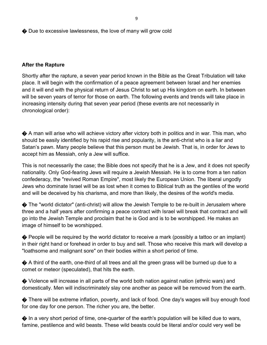♦ Due to excessive lawlessness, the love of many will grow cold

#### After the Rapture

Shortly after the rapture, a seven year period known in the Bible as the Great Tribulation will take place. It will begin with the confirmation of a peace agreement between Israel and her enemies and it will end with the physical return of Jesus Christ to set up His kingdom on earth. In between will be seven years of terror for those on earth. The following events and trends will take place in increasing intensity during that seven year period (these events are not necessarily in chronological order):

� A man will arise who will achieve victory after victory both in politics and in war. This man, who should be easily identified by his rapid rise and popularity, is the anti-christ who is a liar and Satan's pawn. Many people believe that this person must be Jewish. That is, in order for Jews to accept him as Messiah, only a Jew will suffice.

This is not necessarily the case; the Bible does not specify that he is a Jew, and it does not specify nationality. Only God-fearing Jews will require a Jewish Messiah. He is to come from a ten nation confederacy, the "revived Roman Empire", most likely the European Union. The liberal ungodly Jews who dominate Israel will be as lost when it comes to Biblical truth as the gentiles of the world and will be deceived by his charisma, and more than likely, the desires of the world's media.

� The "world dictator" (anti-christ) will allow the Jewish Temple to be re-built in Jerusalem where three and a half years after confirming a peace contract with Israel will break that contract and will go into the Jewish Temple and proclaim that he is God and is to be worshipped. He makes an image of himself to be worshipped.

◆ People will be required by the world dictator to receive a mark (possibly a tattoo or an implant) in their right hand or forehead in order to buy and sell. Those who receive this mark will develop a "loathsome and malignant sore" on their bodies within a short period of time.

◆ A third of the earth, one-third of all trees and all the green grass will be burned up due to a comet or meteor (speculated), that hits the earth.

� Violence will increase in all parts of the world both nation against nation (ethnic wars) and domestically. Men will indiscriminately slay one another as peace will be removed from the earth.

� There will be extreme inflation, poverty, and lack of food. One day's wages will buy enough food for one day for one person. The richer you are, the better.

� In a very short period of time, one-quarter of the earth's population will be killed due to wars, famine, pestilence and wild beasts. These wild beasts could be literal and/or could very well be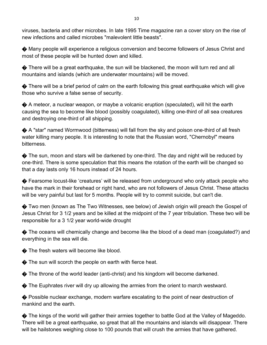viruses, bacteria and other microbes. In late 1995 Time magazine ran a cover story on the rise of new infections and called microbes "malevolent little beasts".

� Many people will experience a religious conversion and become followers of Jesus Christ and most of these people will be hunted down and killed.

� There will be a great earthquake, the sun will be blackened, the moon will turn red and all mountains and islands (which are underwater mountains) will be moved.

� There will be a brief period of calm on the earth following this great earthquake which will give those who survive a false sense of security.

� A meteor, a nuclear weapon, or maybe a volcanic eruption (speculated), will hit the earth causing the sea to become like blood (possibly coagulated), killing one-third of all sea creatures and destroying one-third of all shipping.

� A "star" named Wormwood (bitterness) will fall from the sky and poison one-third of all fresh water killing many people. It is interesting to note that the Russian word, "Chernobyl" means bitterness.

 $\bigcirc$  The sun, moon and stars will be darkened by one-third. The day and night will be reduced by one-third. There is some speculation that this means the rotation of the earth will be changed so that a day lasts only 16 hours instead of 24 hours.

� Fearsome locust-like 'creatures' will be released from underground who only attack people who have the mark in their forehead or right hand, who are not followers of Jesus Christ. These attacks will be very painful but last for 5 months. People will try to commit suicide, but can't die.

� Two men (known as The Two Witnesses, see below) of Jewish origin will preach the Gospel of Jesus Christ for 3 1/2 years and be killed at the midpoint of the 7 year tribulation. These two will be responsible for a 3 1/2 year world-wide drought

� The oceans will chemically change and become like the blood of a dead man (coagulated?) and everything in the sea will die.

◆ The fresh waters will become like blood.

 $\bigcirc$  The sun will scorch the people on earth with fierce heat.

� The throne of the world leader (anti-christ) and his kingdom will become darkened.

� The Euphrates river will dry up allowing the armies from the orient to march westward.

� Possible nuclear exchange, modern warfare escalating to the point of near destruction of mankind and the earth.

� The kings of the world will gather their armies together to battle God at the Valley of Mageddo. There will be a great earthquake, so great that all the mountains and islands will disappear. There will be hailstones weighing close to 100 pounds that will crush the armies that have gathered.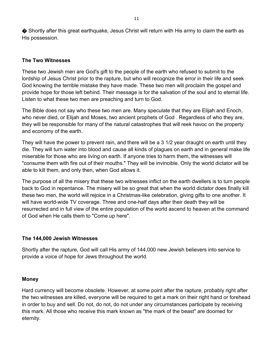♦ Shortly after this great earthquake, Jesus Christ will return with His army to claim the earth as His possession.

#### The Two Witnesses

These two Jewish men are God's gift to the people of the earth who refused to submit to the lordship of Jesus Christ prior to the rapture, but who will recognize the error in their life and seek God knowing the terrible mistake they have made. These two men will proclaim the gospel and provide hope for those left behind. Their message is for the salvation of the soul and to eternal life. Listen to what these two men are preaching and turn to God.

The Bible does not say who these two men are. Many speculate that they are Elijah and Enoch, who never died, or Elijah and Moses, two ancient prophets of God . Regardless of who they are, they will be responsible for many of the natural catastrophes that will reek havoc on the property and economy of the earth.

They will have the power to prevent rain, and there will be a 3 1/2 year draught on earth until they die. They will turn water into blood and cause all kinds of plagues on earth and in general make life miserable for those who are living on earth. If anyone tries to harm them, the witnesses will "consume them with fire out of their mouths." They will be invincible. Only the world dictator will be able to kill them, and only then, when God allows it.

The purpose of all the misery that these two witnesses inflict on the earth dwellers is to turn people back to God in repentance. The misery will be so great that when the world dictator does finally kill these two men, the world will rejoice in a Christmas-like celebration, giving gifts to one another. It will have world-wide TV coverage. Three and one-half days after their death they will be resurrected and in full view of the entire population of the world ascend to heaven at the command of God when He calls them to "Come up here".

#### The 144,000 Jewish Witnesses

Shortly after the rapture, God will call His army of 144,000 new Jewish believers into service to provide a voice of hope for Jews throughout the world.

#### Money

Hard currency will become obsolete. However, at some point after the rapture, probably right after the two witnesses are killed, everyone will be required to get a mark on their right hand or forehead in order to buy and sell. Do not, do not, do not under any circumstances participate by receiving this mark. All those who receive this mark known as "the mark of the beast" are doomed for eternity.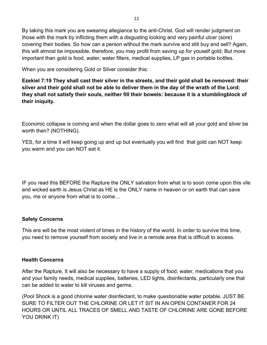By taking this mark you are swearing allegiance to the anti-Christ. God will render judgment on those with the mark by inflicting them with a disgusting looking and very painful ulcer (sore) covering their bodies. So how can a person without the mark survive and still buy and sell? Again, this will almost be impossible, therefore, you may profit from saving up for youself gold; But more important than gold is food, water, water filters, medical supplies, LP gas in portable bottles.

When you are considering Gold or Silver consider this:

Ezekiel 7:19 They shall cast their silver in the streets, and their gold shall be removed: their silver and their gold shall not be able to deliver them in the day of the wrath of the Lord: they shall not satisfy their souls, neither fill their bowels: because it is a stumblingblock of their iniquity.

Economic collapse is coming and when the dollar goes to zero what will all your gold and silver be worth then? (NOTHING).

YES, for a time it will keep going up and up but eventually you will find that gold can NOT keep you warm and you can NOT eat it.

IF you read this BEFORE the Rapture the ONLY salvation from what is to soon come upon this vile and wicked earth is Jesus Christ as HE is the ONLY name in heaven or on earth that can save you, me or anyone from what is to come…

## Safety Concerns

This era will be the most violent of times in the history of the world. In order to survive this time, you need to remove yourself from society and live in a remote area that is difficult to access.

## Health Concerns

After the Rapture, It will also be necessary to have a supply of food, water, medications that you and your family needs, medical supplies, batteries, LED lights, disinfectants, particularly one that can be added to water to kill viruses and germs.

(Pool Shock is a good chlorine water disinfectant, to make questionable water potable. JUST BE SURE TO FILTER OUT THE CHLORINE OR LET IT SIT IN AN OPEN CONTANER FOR 24 HOURS OR UNTIL ALL TRACES OF SMELL AND TASTE OF CHLORINE ARE GONE BEFORE YOU DRINK IT)